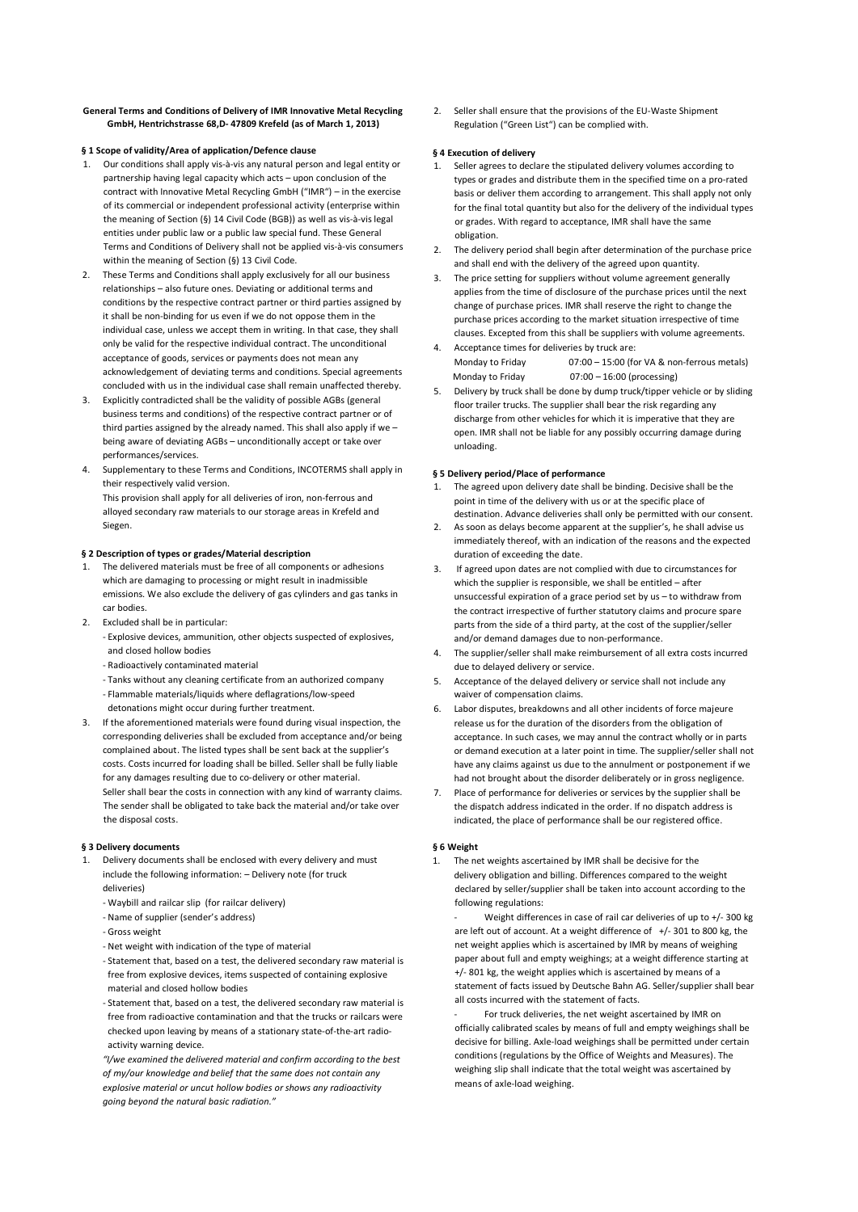### **General Terms and Conditions of Delivery of IMR Innovative Metal Recycling GmbH, Hentrichstrasse 68,D- 47809 Krefeld (as of March 1, 2013)**

# **§ 1 Scope of validity/Area of application/Defence clause**

- 1. Our conditions shall apply vis-à-vis any natural person and legal entity or partnership having legal capacity which acts – upon conclusion of the contract with Innovative Metal Recycling GmbH ("IMR") – in the exercise of its commercial or independent professional activity (enterprise within the meaning of Section (§) 14 Civil Code (BGB)) as well as vis-à-vis legal entities under public law or a public law special fund. These General Terms and Conditions of Delivery shall not be applied vis-à-vis consumers within the meaning of Section (§) 13 Civil Code.
- 2. These Terms and Conditions shall apply exclusively for all our business relationships – also future ones. Deviating or additional terms and conditions by the respective contract partner or third parties assigned by it shall be non-binding for us even if we do not oppose them in the individual case, unless we accept them in writing. In that case, they shall only be valid for the respective individual contract. The unconditional acceptance of goods, services or payments does not mean any acknowledgement of deviating terms and conditions. Special agreements concluded with us in the individual case shall remain unaffected thereby.
- 3. Explicitly contradicted shall be the validity of possible AGBs (general business terms and conditions) of the respective contract partner or of third parties assigned by the already named. This shall also apply if we – being aware of deviating AGBs – unconditionally accept or take over performances/services.
- 4. Supplementary to these Terms and Conditions, INCOTERMS shall apply in their respectively valid version. This provision shall apply for all deliveries of iron, non-ferrous and alloyed secondary raw materials to our storage areas in Krefeld and Siegen.

### **§ 2 Description of types or grades/Material description**

- 1. The delivered materials must be free of all components or adhesions which are damaging to processing or might result in inadmissible emissions. We also exclude the delivery of gas cylinders and gas tanks in car bodies.
- 2. Excluded shall be in particular:
	- Explosive devices, ammunition, other objects suspected of explosives, and closed hollow bodies
	- Radioactively contaminated material
	- Tanks without any cleaning certificate from an authorized company
	- Flammable materials/liquids where deflagrations/low-speed
	- detonations might occur during further treatment.
- 3. If the aforementioned materials were found during visual inspection, the corresponding deliveries shall be excluded from acceptance and/or being complained about. The listed types shall be sent back at the supplier's costs. Costs incurred for loading shall be billed. Seller shall be fully liable for any damages resulting due to co-delivery or other material. Seller shall bear the costs in connection with any kind of warranty claims. The sender shall be obligated to take back the material and/or take over the disposal costs.

### **§ 3 Delivery documents**

- 1. Delivery documents shall be enclosed with every delivery and must include the following information: – Delivery note (for truck deliveries)
	- Waybill and railcar slip (for railcar delivery)
	- Name of supplier (sender's address)
	- Gross weight
	- Net weight with indication of the type of material
	- Statement that, based on a test, the delivered secondary raw material is free from explosive devices, items suspected of containing explosive material and closed hollow bodies
	- Statement that, based on a test, the delivered secondary raw material is free from radioactive contamination and that the trucks or railcars were checked upon leaving by means of a stationary state-of-the-art radioactivity warning device.

*"I/we examined the delivered material and confirm according to the best of my/our knowledge and belief that the same does not contain any explosive material or uncut hollow bodies or shows any radioactivity going beyond the natural basic radiation."*

2. Seller shall ensure that the provisions of the EU-Waste Shipment Regulation ("Green List") can be complied with.

#### **§ 4 Execution of delivery**

- Seller agrees to declare the stipulated delivery volumes according to types or grades and distribute them in the specified time on a pro-rated basis or deliver them according to arrangement. This shall apply not only for the final total quantity but also for the delivery of the individual types or grades. With regard to acceptance, IMR shall have the same obligation.
- The delivery period shall begin after determination of the purchase price and shall end with the delivery of the agreed upon quantity.
- 3. The price setting for suppliers without volume agreement generally applies from the time of disclosure of the purchase prices until the next change of purchase prices. IMR shall reserve the right to change the purchase prices according to the market situation irrespective of time clauses. Excepted from this shall be suppliers with volume agreements.
- Acceptance times for deliveries by truck are: Monday to Friday 07:00 – 15:00 (for VA & non-ferrous metals) Monday to Friday 07:00 – 16:00 (processing)
- 5. Delivery by truck shall be done by dump truck/tipper vehicle or by sliding floor trailer trucks. The supplier shall bear the risk regarding any discharge from other vehicles for which it is imperative that they are open. IMR shall not be liable for any possibly occurring damage during unloading.

#### **§ 5 Delivery period/Place of performance**

- 1. The agreed upon delivery date shall be binding. Decisive shall be the point in time of the delivery with us or at the specific place of destination. Advance deliveries shall only be permitted with our consent.
- 2. As soon as delays become apparent at the supplier's, he shall advise us immediately thereof, with an indication of the reasons and the expected duration of exceeding the date.
- If agreed upon dates are not complied with due to circumstances for which the supplier is responsible, we shall be entitled – after unsuccessful expiration of a grace period set by us – to withdraw from the contract irrespective of further statutory claims and procure spare parts from the side of a third party, at the cost of the supplier/seller and/or demand damages due to non-performance.
- 4. The supplier/seller shall make reimbursement of all extra costs incurred due to delayed delivery or service.
- 5. Acceptance of the delayed delivery or service shall not include any waiver of compensation claims.
- 6. Labor disputes, breakdowns and all other incidents of force majeure release us for the duration of the disorders from the obligation of acceptance. In such cases, we may annul the contract wholly or in parts or demand execution at a later point in time. The supplier/seller shall not have any claims against us due to the annulment or postponement if we had not brought about the disorder deliberately or in gross negligence.
- 7. Place of performance for deliveries or services by the supplier shall be the dispatch address indicated in the order. If no dispatch address is indicated, the place of performance shall be our registered office.

### **§ 6 Weight**

1. The net weights ascertained by IMR shall be decisive for the delivery obligation and billing. Differences compared to the weight declared by seller/supplier shall be taken into account according to the following regulations:

Weight differences in case of rail car deliveries of up to +/- 300 kg are left out of account. At a weight difference of  $+/-$  301 to 800 kg, the net weight applies which is ascertained by IMR by means of weighing paper about full and empty weighings; at a weight difference starting at +/- 801 kg, the weight applies which is ascertained by means of a statement of facts issued by Deutsche Bahn AG. Seller/supplier shall bear all costs incurred with the statement of facts.

For truck deliveries, the net weight ascertained by IMR on officially calibrated scales by means of full and empty weighings shall be decisive for billing. Axle-load weighings shall be permitted under certain conditions (regulations by the Office of Weights and Measures). The weighing slip shall indicate that the total weight was ascertained by means of axle-load weighing.